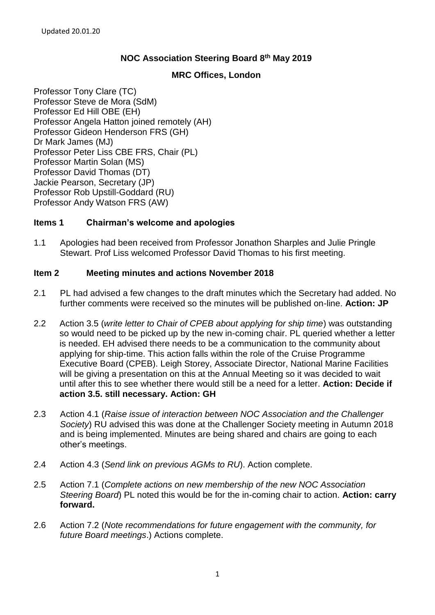# **NOC Association Steering Board 8th May 2019**

# **MRC Offices, London**

Professor Tony Clare (TC) Professor Steve de Mora (SdM) Professor Ed Hill OBE (EH) Professor Angela Hatton joined remotely (AH) Professor Gideon Henderson FRS (GH) Dr Mark James (MJ) Professor Peter Liss CBE FRS, Chair (PL) Professor Martin Solan (MS) Professor David Thomas (DT) Jackie Pearson, Secretary (JP) Professor Rob Upstill-Goddard (RU) Professor Andy Watson FRS (AW)

# **Items 1 Chairman's welcome and apologies**

1.1 Apologies had been received from Professor Jonathon Sharples and Julie Pringle Stewart. Prof Liss welcomed Professor David Thomas to his first meeting.

#### **Item 2 Meeting minutes and actions November 2018**

- 2.1 PL had advised a few changes to the draft minutes which the Secretary had added. No further comments were received so the minutes will be published on-line. **Action: JP**
- 2.2 Action 3.5 (*write letter to Chair of CPEB about applying for ship time*) was outstanding so would need to be picked up by the new in-coming chair. PL queried whether a letter is needed. EH advised there needs to be a communication to the community about applying for ship-time. This action falls within the role of the Cruise Programme Executive Board (CPEB). Leigh Storey, Associate Director, National Marine Facilities will be giving a presentation on this at the Annual Meeting so it was decided to wait until after this to see whether there would still be a need for a letter. **Action: Decide if action 3.5. still necessary. Action: GH**
- 2.3 Action 4.1 (*Raise issue of interaction between NOC Association and the Challenger Society*) RU advised this was done at the Challenger Society meeting in Autumn 2018 and is being implemented. Minutes are being shared and chairs are going to each other's meetings.
- 2.4 Action 4.3 (*Send link on previous AGMs to RU*). Action complete.
- 2.5 Action 7.1 (*Complete actions on new membership of the new NOC Association Steering Board*) PL noted this would be for the in-coming chair to action. **Action: carry forward.**
- 2.6 Action 7.2 (*Note recommendations for future engagement with the community, for future Board meetings*.) Actions complete.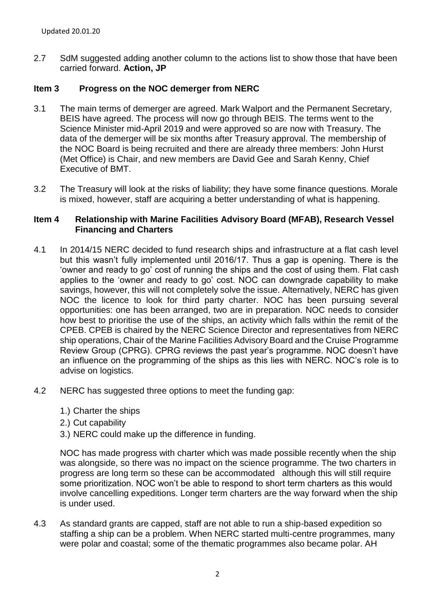2.7 SdM suggested adding another column to the actions list to show those that have been carried forward. **Action, JP**

# **Item 3 Progress on the NOC demerger from NERC**

- 3.1 The main terms of demerger are agreed. Mark Walport and the Permanent Secretary, BEIS have agreed. The process will now go through BEIS. The terms went to the Science Minister mid-April 2019 and were approved so are now with Treasury. The data of the demerger will be six months after Treasury approval. The membership of the NOC Board is being recruited and there are already three members: John Hurst (Met Office) is Chair, and new members are David Gee and Sarah Kenny, Chief Executive of BMT.
- 3.2 The Treasury will look at the risks of liability; they have some finance questions. Morale is mixed, however, staff are acquiring a better understanding of what is happening.

### **Item 4 Relationship with Marine Facilities Advisory Board (MFAB), Research Vessel Financing and Charters**

- 4.1 In 2014/15 NERC decided to fund research ships and infrastructure at a flat cash level but this wasn't fully implemented until 2016/17. Thus a gap is opening. There is the 'owner and ready to go' cost of running the ships and the cost of using them. Flat cash applies to the 'owner and ready to go' cost. NOC can downgrade capability to make savings, however, this will not completely solve the issue. Alternatively, NERC has given NOC the licence to look for third party charter. NOC has been pursuing several opportunities: one has been arranged, two are in preparation. NOC needs to consider how best to prioritise the use of the ships, an activity which falls within the remit of the CPEB. CPEB is chaired by the NERC Science Director and representatives from NERC ship operations, Chair of the Marine Facilities Advisory Board and the Cruise Programme Review Group (CPRG). CPRG reviews the past year's programme. NOC doesn't have an influence on the programming of the ships as this lies with NERC. NOC's role is to advise on logistics.
- 4.2 NERC has suggested three options to meet the funding gap:
	- 1.) Charter the ships
	- 2.) Cut capability
	- 3.) NERC could make up the difference in funding.

NOC has made progress with charter which was made possible recently when the ship was alongside, so there was no impact on the science programme. The two charters in progress are long term so these can be accommodated although this will still require some prioritization. NOC won't be able to respond to short term charters as this would involve cancelling expeditions. Longer term charters are the way forward when the ship is under used.

4.3 As standard grants are capped, staff are not able to run a ship-based expedition so staffing a ship can be a problem. When NERC started multi-centre programmes, many were polar and coastal; some of the thematic programmes also became polar. AH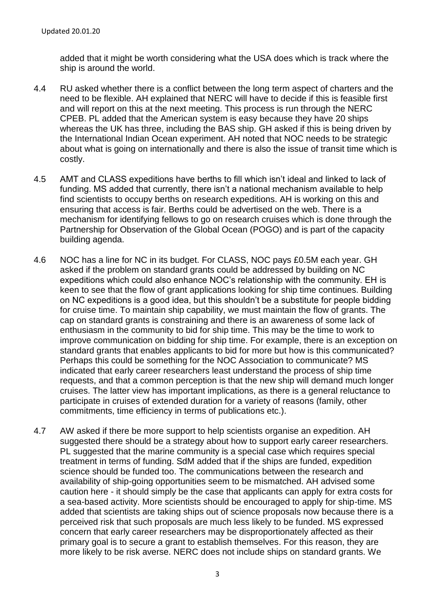added that it might be worth considering what the USA does which is track where the ship is around the world.

- 4.4 RU asked whether there is a conflict between the long term aspect of charters and the need to be flexible. AH explained that NERC will have to decide if this is feasible first and will report on this at the next meeting. This process is run through the NERC CPEB. PL added that the American system is easy because they have 20 ships whereas the UK has three, including the BAS ship. GH asked if this is being driven by the International Indian Ocean experiment. AH noted that NOC needs to be strategic about what is going on internationally and there is also the issue of transit time which is costly.
- 4.5 AMT and CLASS expeditions have berths to fill which isn't ideal and linked to lack of funding. MS added that currently, there isn't a national mechanism available to help find scientists to occupy berths on research expeditions. AH is working on this and ensuring that access is fair. Berths could be advertised on the web. There is a mechanism for identifying fellows to go on research cruises which is done through the Partnership for Observation of the Global Ocean (POGO) and is part of the capacity building agenda.
- 4.6 NOC has a line for NC in its budget. For CLASS, NOC pays £0.5M each year. GH asked if the problem on standard grants could be addressed by building on NC expeditions which could also enhance NOC's relationship with the community. EH is keen to see that the flow of grant applications looking for ship time continues. Building on NC expeditions is a good idea, but this shouldn't be a substitute for people bidding for cruise time. To maintain ship capability, we must maintain the flow of grants. The cap on standard grants is constraining and there is an awareness of some lack of enthusiasm in the community to bid for ship time. This may be the time to work to improve communication on bidding for ship time. For example, there is an exception on standard grants that enables applicants to bid for more but how is this communicated? Perhaps this could be something for the NOC Association to communicate? MS indicated that early career researchers least understand the process of ship time requests, and that a common perception is that the new ship will demand much longer cruises. The latter view has important implications, as there is a general reluctance to participate in cruises of extended duration for a variety of reasons (family, other commitments, time efficiency in terms of publications etc.).
- 4.7 AW asked if there be more support to help scientists organise an expedition. AH suggested there should be a strategy about how to support early career researchers. PL suggested that the marine community is a special case which requires special treatment in terms of funding. SdM added that if the ships are funded, expedition science should be funded too. The communications between the research and availability of ship-going opportunities seem to be mismatched. AH advised some caution here - it should simply be the case that applicants can apply for extra costs for a sea-based activity. More scientists should be encouraged to apply for ship-time. MS added that scientists are taking ships out of science proposals now because there is a perceived risk that such proposals are much less likely to be funded. MS expressed concern that early career researchers may be disproportionately affected as their primary goal is to secure a grant to establish themselves. For this reason, they are more likely to be risk averse. NERC does not include ships on standard grants. We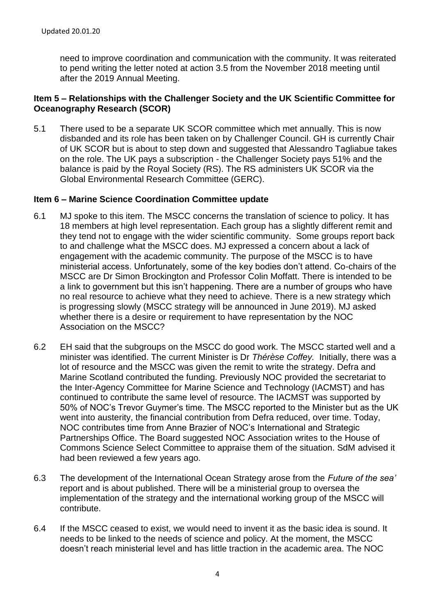need to improve coordination and communication with the community. It was reiterated to pend writing the letter noted at action 3.5 from the November 2018 meeting until after the 2019 Annual Meeting.

### **Item 5 – Relationships with the Challenger Society and the UK Scientific Committee for Oceanography Research (SCOR)**

5.1 There used to be a separate UK SCOR committee which met annually. This is now disbanded and its role has been taken on by Challenger Council. GH is currently Chair of UK SCOR but is about to step down and suggested that Alessandro Tagliabue takes on the role. The UK pays a subscription - the Challenger Society pays 51% and the balance is paid by the Royal Society (RS). The RS administers UK SCOR via the Global Environmental Research Committee (GERC).

#### **Item 6 – Marine Science Coordination Committee update**

- 6.1 MJ spoke to this item. The MSCC concerns the translation of science to policy. It has 18 members at high level representation. Each group has a slightly different remit and they tend not to engage with the wider scientific community. Some groups report back to and challenge what the MSCC does. MJ expressed a concern about a lack of engagement with the academic community. The purpose of the MSCC is to have ministerial access. Unfortunately, some of the key bodies don't attend. Co-chairs of the MSCC are Dr Simon Brockington and Professor Colin Moffatt. There is intended to be a link to government but this isn't happening. There are a number of groups who have no real resource to achieve what they need to achieve. There is a new strategy which is progressing slowly (MSCC strategy will be announced in June 2019). MJ asked whether there is a desire or requirement to have representation by the NOC Association on the MSCC?
- 6.2 EH said that the subgroups on the MSCC do good work. The MSCC started well and a minister was identified. The current Minister is Dr *Thérèse Coffey.* Initially, there was a lot of resource and the MSCC was given the remit to write the strategy. Defra and Marine Scotland contributed the funding. Previously NOC provided the secretariat to the Inter-Agency Committee for Marine Science and Technology (IACMST) and has continued to contribute the same level of resource. The IACMST was supported by 50% of NOC's Trevor Guymer's time. The MSCC reported to the Minister but as the UK went into austerity, the financial contribution from Defra reduced, over time. Today, NOC contributes time from Anne Brazier of NOC's International and Strategic Partnerships Office. The Board suggested NOC Association writes to the House of Commons Science Select Committee to appraise them of the situation. SdM advised it had been reviewed a few years ago.
- 6.3 The development of the International Ocean Strategy arose from the *Future of the sea'*  report and is about published. There will be a ministerial group to oversea the implementation of the strategy and the international working group of the MSCC will contribute.
- 6.4 If the MSCC ceased to exist, we would need to invent it as the basic idea is sound. It needs to be linked to the needs of science and policy. At the moment, the MSCC doesn't reach ministerial level and has little traction in the academic area. The NOC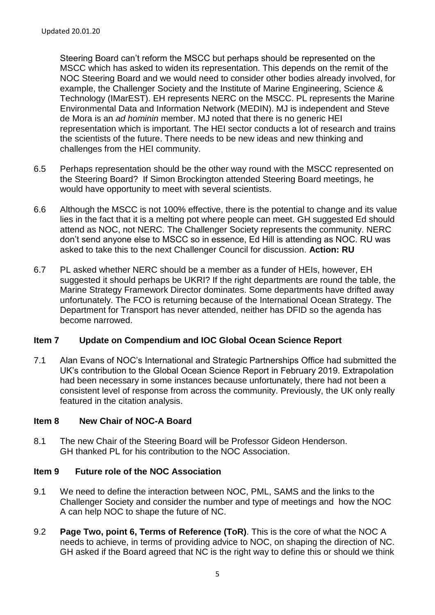Steering Board can't reform the MSCC but perhaps should be represented on the MSCC which has asked to widen its representation. This depends on the remit of the NOC Steering Board and we would need to consider other bodies already involved, for example, the Challenger Society and the Institute of Marine Engineering, Science & Technology (IMarEST). EH represents NERC on the MSCC. PL represents the Marine Environmental Data and Information Network (MEDIN). MJ is independent and Steve de Mora is an *ad hominin* member. MJ noted that there is no generic HEI representation which is important. The HEI sector conducts a lot of research and trains the scientists of the future. There needs to be new ideas and new thinking and challenges from the HEI community.

- 6.5 Perhaps representation should be the other way round with the MSCC represented on the Steering Board? If Simon Brockington attended Steering Board meetings, he would have opportunity to meet with several scientists.
- 6.6 Although the MSCC is not 100% effective, there is the potential to change and its value lies in the fact that it is a melting pot where people can meet. GH suggested Ed should attend as NOC, not NERC. The Challenger Society represents the community. NERC don't send anyone else to MSCC so in essence, Ed Hill is attending as NOC. RU was asked to take this to the next Challenger Council for discussion. **Action: RU**
- 6.7 PL asked whether NERC should be a member as a funder of HEIs, however, EH suggested it should perhaps be UKRI? If the right departments are round the table, the Marine Strategy Framework Director dominates. Some departments have drifted away unfortunately. The FCO is returning because of the International Ocean Strategy. The Department for Transport has never attended, neither has DFID so the agenda has become narrowed.

#### **Item 7 Update on Compendium and IOC Global Ocean Science Report**

7.1 Alan Evans of NOC's International and Strategic Partnerships Office had submitted the UK's contribution to the Global Ocean Science Report in February 2019. Extrapolation had been necessary in some instances because unfortunately, there had not been a consistent level of response from across the community. Previously, the UK only really featured in the citation analysis.

#### **Item 8 New Chair of NOC-A Board**

8.1 The new Chair of the Steering Board will be Professor Gideon Henderson. GH thanked PL for his contribution to the NOC Association.

# **Item 9 Future role of the NOC Association**

- 9.1 We need to define the interaction between NOC, PML, SAMS and the links to the Challenger Society and consider the number and type of meetings and how the NOC A can help NOC to shape the future of NC.
- 9.2 **Page Two, point 6, Terms of Reference (ToR)**. This is the core of what the NOC A needs to achieve, in terms of providing advice to NOC, on shaping the direction of NC. GH asked if the Board agreed that NC is the right way to define this or should we think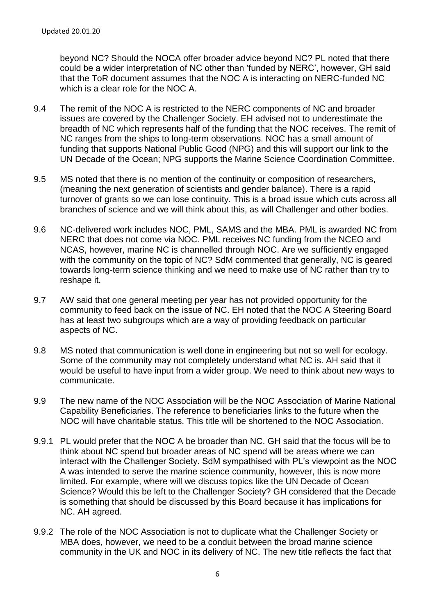beyond NC? Should the NOCA offer broader advice beyond NC? PL noted that there could be a wider interpretation of NC other than 'funded by NERC', however, GH said that the ToR document assumes that the NOC A is interacting on NERC-funded NC which is a clear role for the NOC A.

- 9.4 The remit of the NOC A is restricted to the NERC components of NC and broader issues are covered by the Challenger Society. EH advised not to underestimate the breadth of NC which represents half of the funding that the NOC receives. The remit of NC ranges from the ships to long-term observations. NOC has a small amount of funding that supports National Public Good (NPG) and this will support our link to the UN Decade of the Ocean; NPG supports the Marine Science Coordination Committee.
- 9.5 MS noted that there is no mention of the continuity or composition of researchers, (meaning the next generation of scientists and gender balance). There is a rapid turnover of grants so we can lose continuity. This is a broad issue which cuts across all branches of science and we will think about this, as will Challenger and other bodies.
- 9.6 NC-delivered work includes NOC, PML, SAMS and the MBA. PML is awarded NC from NERC that does not come via NOC. PML receives NC funding from the NCEO and NCAS, however, marine NC is channelled through NOC. Are we sufficiently engaged with the community on the topic of NC? SdM commented that generally, NC is geared towards long-term science thinking and we need to make use of NC rather than try to reshape it.
- 9.7 AW said that one general meeting per year has not provided opportunity for the community to feed back on the issue of NC. EH noted that the NOC A Steering Board has at least two subgroups which are a way of providing feedback on particular aspects of NC.
- 9.8 MS noted that communication is well done in engineering but not so well for ecology. Some of the community may not completely understand what NC is. AH said that it would be useful to have input from a wider group. We need to think about new ways to communicate.
- 9.9 The new name of the NOC Association will be the NOC Association of Marine National Capability Beneficiaries. The reference to beneficiaries links to the future when the NOC will have charitable status. This title will be shortened to the NOC Association.
- 9.9.1 PL would prefer that the NOC A be broader than NC. GH said that the focus will be to think about NC spend but broader areas of NC spend will be areas where we can interact with the Challenger Society. SdM sympathised with PL's viewpoint as the NOC A was intended to serve the marine science community, however, this is now more limited. For example, where will we discuss topics like the UN Decade of Ocean Science? Would this be left to the Challenger Society? GH considered that the Decade is something that should be discussed by this Board because it has implications for NC. AH agreed.
- 9.9.2 The role of the NOC Association is not to duplicate what the Challenger Society or MBA does, however, we need to be a conduit between the broad marine science community in the UK and NOC in its delivery of NC. The new title reflects the fact that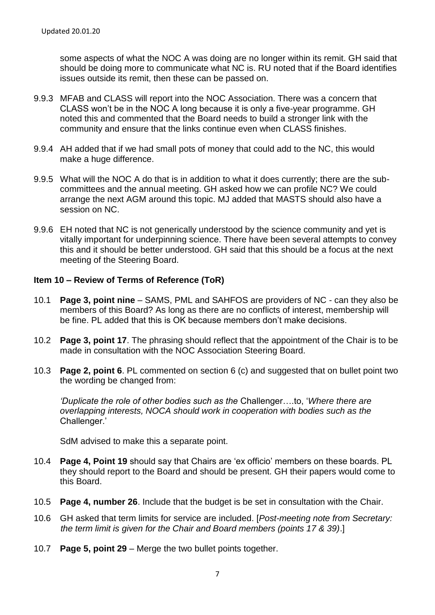some aspects of what the NOC A was doing are no longer within its remit. GH said that should be doing more to communicate what NC is. RU noted that if the Board identifies issues outside its remit, then these can be passed on.

- 9.9.3 MFAB and CLASS will report into the NOC Association. There was a concern that CLASS won't be in the NOC A long because it is only a five-year programme. GH noted this and commented that the Board needs to build a stronger link with the community and ensure that the links continue even when CLASS finishes.
- 9.9.4 AH added that if we had small pots of money that could add to the NC, this would make a huge difference.
- 9.9.5 What will the NOC A do that is in addition to what it does currently; there are the subcommittees and the annual meeting. GH asked how we can profile NC? We could arrange the next AGM around this topic. MJ added that MASTS should also have a session on NC.
- 9.9.6 EH noted that NC is not generically understood by the science community and yet is vitally important for underpinning science. There have been several attempts to convey this and it should be better understood. GH said that this should be a focus at the next meeting of the Steering Board.

# **Item 10 – Review of Terms of Reference (ToR)**

- 10.1 **Page 3, point nine** SAMS, PML and SAHFOS are providers of NC can they also be members of this Board? As long as there are no conflicts of interest, membership will be fine. PL added that this is OK because members don't make decisions.
- 10.2 **Page 3, point 17**. The phrasing should reflect that the appointment of the Chair is to be made in consultation with the NOC Association Steering Board.
- 10.3 **Page 2, point 6**. PL commented on section 6 (c) and suggested that on bullet point two the wording be changed from:

*'Duplicate the role of other bodies such as the* Challenger….to, '*Where there are overlapping interests, NOCA should work in cooperation with bodies such as the*  Challenger.'

SdM advised to make this a separate point.

- 10.4 **Page 4, Point 19** should say that Chairs are 'ex officio' members on these boards. PL they should report to the Board and should be present. GH their papers would come to this Board.
- 10.5 **Page 4, number 26**. Include that the budget is be set in consultation with the Chair.
- 10.6 GH asked that term limits for service are included. [*Post-meeting note from Secretary: the term limit is given for the Chair and Board members (points 17 & 39)*.]
- 10.7 **Page 5, point 29** Merge the two bullet points together.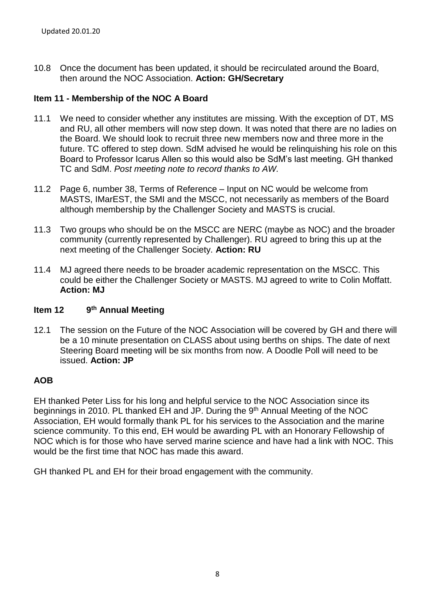10.8 Once the document has been updated, it should be recirculated around the Board, then around the NOC Association. **Action: GH/Secretary**

# **Item 11 - Membership of the NOC A Board**

- 11.1 We need to consider whether any institutes are missing. With the exception of DT, MS and RU, all other members will now step down. It was noted that there are no ladies on the Board. We should look to recruit three new members now and three more in the future. TC offered to step down. SdM advised he would be relinquishing his role on this Board to Professor Icarus Allen so this would also be SdM's last meeting. GH thanked TC and SdM. *Post meeting note to record thanks to AW.*
- 11.2 Page 6, number 38, Terms of Reference Input on NC would be welcome from MASTS, IMarEST, the SMI and the MSCC, not necessarily as members of the Board although membership by the Challenger Society and MASTS is crucial.
- 11.3 Two groups who should be on the MSCC are NERC (maybe as NOC) and the broader community (currently represented by Challenger). RU agreed to bring this up at the next meeting of the Challenger Society. **Action: RU**
- 11.4 MJ agreed there needs to be broader academic representation on the MSCC. This could be either the Challenger Society or MASTS. MJ agreed to write to Colin Moffatt. **Action: MJ**

#### **Item 12 th Annual Meeting**

12.1 The session on the Future of the NOC Association will be covered by GH and there will be a 10 minute presentation on CLASS about using berths on ships. The date of next Steering Board meeting will be six months from now. A Doodle Poll will need to be issued. **Action: JP**

#### **AOB**

EH thanked Peter Liss for his long and helpful service to the NOC Association since its beginnings in 2010. PL thanked EH and JP. During the 9<sup>th</sup> Annual Meeting of the NOC Association, EH would formally thank PL for his services to the Association and the marine science community. To this end, EH would be awarding PL with an Honorary Fellowship of NOC which is for those who have served marine science and have had a link with NOC. This would be the first time that NOC has made this award.

GH thanked PL and EH for their broad engagement with the community.